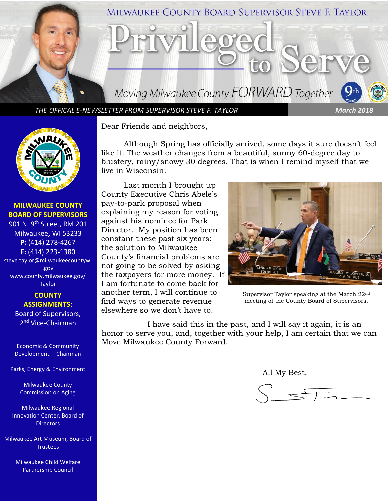

*THE OFFICAL E-NEWSLETTER FROM SUPERVISOR STEVE F. TAYLOR March 2018*



**MILWAUKEE COUNTY BOARD OF SUPERVISORS**

901 N. 9<sup>th</sup> Street, RM 201 Milwaukee, WI 53233 **P:** (414) 278-4267 **F:** (414) 223-1380 steve.taylor@milwaukeecountywi .gov [www.county.milwaukee.gov/](http://www.county.milwaukee.gov/Taylor) [Taylor](http://www.county.milwaukee.gov/Taylor)

> **COUNTY ASSIGNMENTS:** Board of Supervisors, 2<sup>nd</sup> Vice-Chairman

Economic & Community Development -- Chairman

Parks, Energy & Environment

Milwaukee County Commission on Aging

Milwaukee Regional Innovation Center, Board of **Directors** 

Milwaukee Art Museum, Board of **Trustees** 

> Milwaukee Child Welfare Partnership Council

Dear Friends and neighbors,

Although Spring has officially arrived, some days it sure doesn't feel like it. The weather changes from a beautiful, sunny 60-degree day to blustery, rainy/snowy 30 degrees. That is when I remind myself that we live in Wisconsin.

Last month I brought up County Executive Chris Abele's pay-to-park proposal when explaining my reason for voting against his nominee for Park Director. My position has been constant these past six years: the solution to Milwaukee County's financial problems are not going to be solved by asking the taxpayers for more money. If I am fortunate to come back for another term, I will continue to find ways to generate revenue elsewhere so we don't have to.



Supervisor Taylor speaking at the March 22nd meeting of the County Board of Supervisors.

I have said this in the past, and I will say it again, it is an honor to serve you, and, together with your help, I am certain that we can Move Milwaukee County Forward.

All My Best,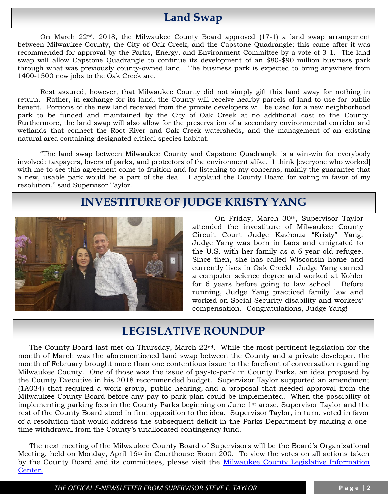# **Land Swap**

On March  $22<sup>nd</sup>$ , 2018, the Milwaukee County Board approved (17-1) a land swap arrangement between Milwaukee County, the City of Oak Creek, and the Capstone Quadrangle; this came after it was recommended for approval by the Parks, Energy, and Environment Committee by a vote of 3-1. The land swap will allow Capstone Quadrangle to continue its development of an \$80-\$90 million business park through what was previously county-owned land. The business park is expected to bring anywhere from 1400-1500 new jobs to the Oak Creek are.

Rest assured, however, that Milwaukee County did not simply gift this land away for nothing in return. Rather, in exchange for its land, the County will receive nearby parcels of land to use for public benefit. Portions of the new land received from the private developers will be used for a new neighborhood park to be funded and maintained by the City of Oak Creek at no additional cost to the County. Furthermore, the land swap will also allow for the preservation of a secondary environmental corridor and wetlands that connect the Root River and Oak Creek watersheds, and the management of an existing natural area containing designated critical species habitat.

"The land swap between Milwaukee County and Capstone Quadrangle is a win-win for everybody involved: taxpayers, lovers of parks, and protectors of the environment alike. I think [everyone who worked] with me to see this agreement come to fruition and for listening to my concerns, mainly the guarantee that a new, usable park would be a part of the deal. I applaud the County Board for voting in favor of my resolution," said Supervisor Taylor.

## **INVESTITURE OF JUDGE KRISTY YANG**



On Friday, March 30th, Supervisor Taylor attended the investiture of Milwaukee County Circuit Court Judge Kashoua "Kristy" Yang. Judge Yang was born in Laos and emigrated to the U.S. with her family as a 6-year old refugee. Since then, she has called Wisconsin home and currently lives in Oak Creek! Judge Yang earned a computer science degree and worked at Kohler for 6 years before going to law school. Before running, Judge Yang practiced family law and worked on Social Security disability and workers' compensation. Congratulations, Judge Yang!

## **LEGISLATIVE ROUNDUP**

The County Board last met on Thursday, March 22nd. While the most pertinent legislation for the month of March was the aforementioned land swap between the County and a private developer, the month of February brought more than one contentious issue to the forefront of conversation regarding Milwaukee County. One of those was the issue of pay-to-park in County Parks, an idea proposed by the County Executive in his 2018 recommended budget. Supervisor Taylor supported an amendment (1A034) that required a work group, public hearing, and a proposal that needed approval from the Milwaukee County Board before any pay-to-park plan could be implemented. When the possibility of implementing parking fees in the County Parks beginning on June  $1<sup>st</sup>$  arose, Supervisor Taylor and the rest of the County Board stood in firm opposition to the idea. Supervisor Taylor, in turn, voted in favor of a resolution that would address the subsequent deficit in the Parks Department by making a onetime withdrawal from the County's unallocated contingency fund.

The next meeting of the Milwaukee County Board of Supervisors will be the Board's Organizational Meeting, held on Monday, April 16th in Courthouse Room 200. To view the votes on all actions taken by the County Board and its committees, please visit the Milwaukee County Legislative Information [Center.](http://milwaukeecounty.legistar.com/Calendar.aspx)